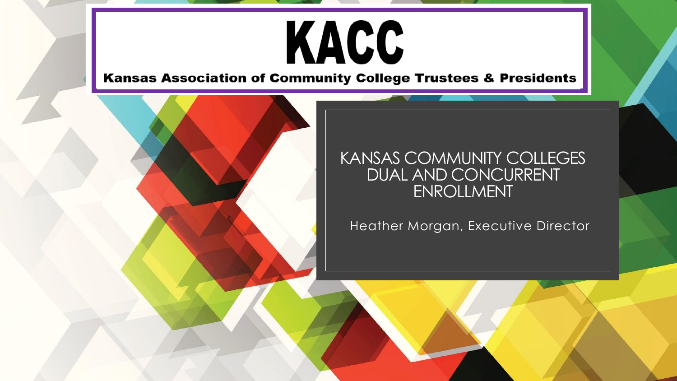# KACC

Kansas Association of Community College Trustees & Presidents



### KANSAS COMMUNITY COLLEGES DUAL AND CONCURRENT ENROLLMENT

Heather Morgan, Executive Director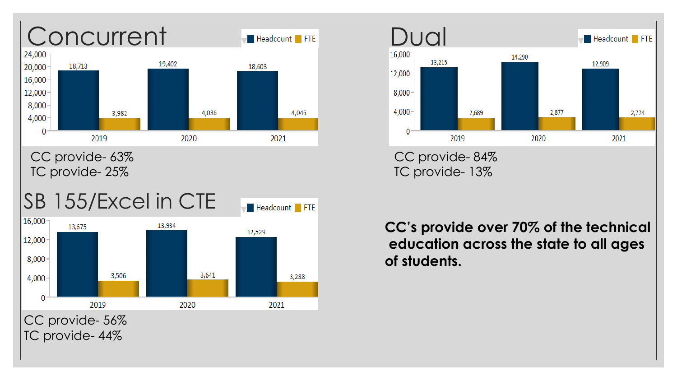

CC provide- 63% TC provide- 25%



TC provide- 44%



**CC's provide over 70% of the technical education across the state to all ages of students.**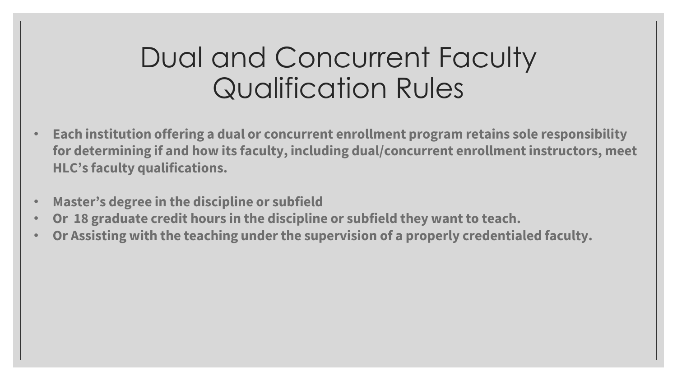### Dual and Concurrent Faculty Qualification Rules

- **Each institution offering a dual or concurrent enrollment program retains sole responsibility for determining if and how its faculty, including dual/concurrent enrollment instructors, meet HLC's faculty qualifications.**
- **Master's degree in the discipline or subfield**
- **Or 18 graduate credit hours in the discipline or subfield they want to teach.**
- **Or Assisting with the teaching under the supervision of a properly credentialed faculty.**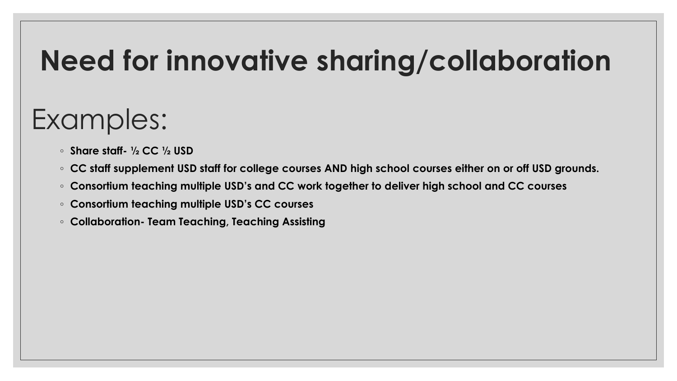# **Need for innovative sharing/collaboration**

# Examples:

- **Share staff- ½ CC ½ USD**
- **CC staff supplement USD staff for college courses AND high school courses either on or off USD grounds.**
- **Consortium teaching multiple USD's and CC work together to deliver high school and CC courses**
- **Consortium teaching multiple USD's CC courses**
- **Collaboration- Team Teaching, Teaching Assisting**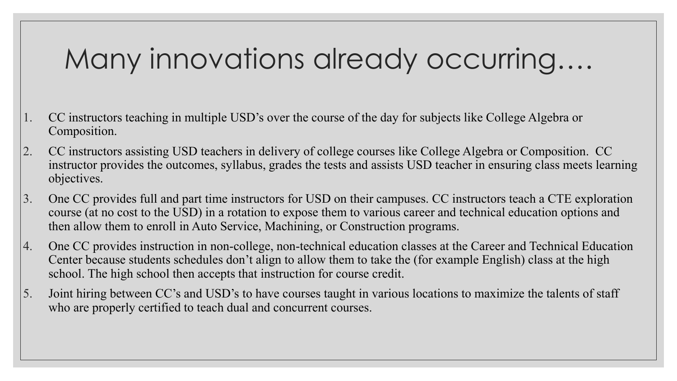## Many innovations already occurring….

- 1. CC instructors teaching in multiple USD's over the course of the day for subjects like College Algebra or Composition.
- 2. CC instructors assisting USD teachers in delivery of college courses like College Algebra or Composition. CC instructor provides the outcomes, syllabus, grades the tests and assists USD teacher in ensuring class meets learning objectives.
- 3. One CC provides full and part time instructors for USD on their campuses. CC instructors teach a CTE exploration course (at no cost to the USD) in a rotation to expose them to various career and technical education options and then allow them to enroll in Auto Service, Machining, or Construction programs.
- 4. One CC provides instruction in non-college, non-technical education classes at the Career and Technical Education Center because students schedules don't align to allow them to take the (for example English) class at the high school. The high school then accepts that instruction for course credit.
- 5. Joint hiring between CC's and USD's to have courses taught in various locations to maximize the talents of staff who are properly certified to teach dual and concurrent courses.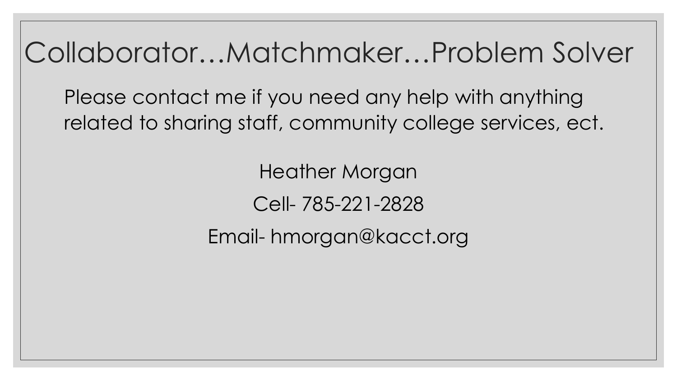Collaborator…Matchmaker…Problem Solver

Please contact me if you need any help with anything related to sharing staff, community college services, ect.

> Heather Morgan Cell- 785-221-2828

Email- hmorgan@kacct.org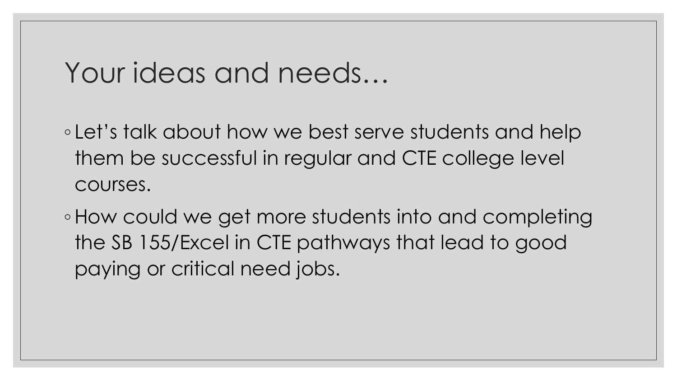### Your ideas and needs…

◦ Let's talk about how we best serve students and help them be successful in regular and CTE college level courses.

◦How could we get more students into and completing the SB 155/Excel in CTE pathways that lead to good paying or critical need jobs.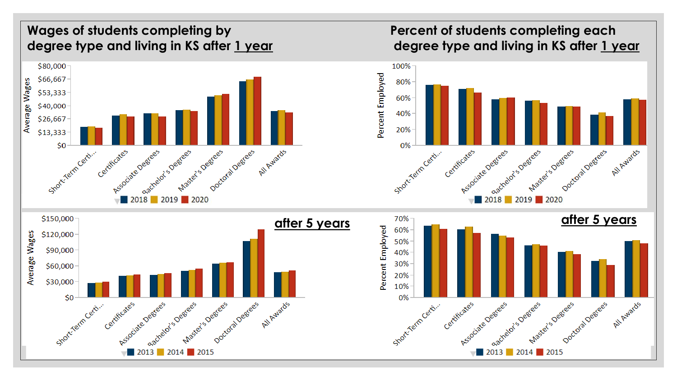### **Wages of students completing by degree type and living in KS after 1 year**



### **Percent of students completing each degree type and living in KS after 1 year**